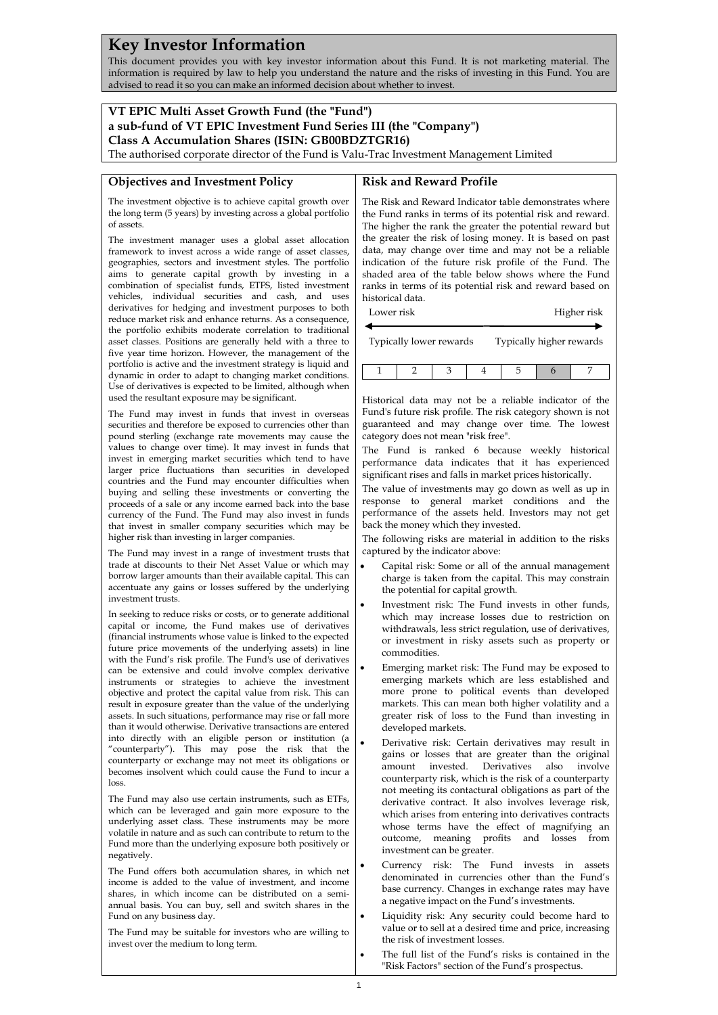# **Key Investor Information**

This document provides you with key investor information about this Fund. It is not marketing material. The information is required by law to help you understand the nature and the risks of investing in this Fund. You are advised to read it so you can make an informed decision about whether to invest.

# **VT EPIC Multi Asset Growth Fund (the "Fund") a sub-fund of VT EPIC Investment Fund Series III (the "Company") Class A Accumulation Shares (ISIN: GB00BDZTGR16)**

The authorised corporate director of the Fund is Valu-Trac Investment Management Limited

### **Objectives and Investment Policy**

## **Risk and Reward Profile**

The investment objective is to achieve capital growth over the long term (5 years) by investing across a global portfolio of assets.

The investment manager uses a global asset allocation framework to invest across a wide range of asset classes, geographies, sectors and investment styles. The portfolio aims to generate capital growth by investing in a combination of specialist funds, ETFS, listed investment vehicles, individual securities and cash, and uses derivatives for hedging and investment purposes to both reduce market risk and enhance returns. As a consequence, the portfolio exhibits moderate correlation to traditional asset classes. Positions are generally held with a three to five year time horizon. However, the management of the portfolio is active and the investment strategy is liquid and dynamic in order to adapt to changing market conditions. Use of derivatives is expected to be limited, although when used the resultant exposure may be significant.

The Fund may invest in funds that invest in overseas securities and therefore be exposed to currencies other than pound sterling (exchange rate movements may cause the values to change over time). It may invest in funds that invest in emerging market securities which tend to have larger price fluctuations than securities in developed countries and the Fund may encounter difficulties when buying and selling these investments or converting the proceeds of a sale or any income earned back into the base currency of the Fund. The Fund may also invest in funds that invest in smaller company securities which may be higher risk than investing in larger companies.

The Fund may invest in a range of investment trusts that trade at discounts to their Net Asset Value or which may borrow larger amounts than their available capital. This can accentuate any gains or losses suffered by the underlying investment trusts.

In seeking to reduce risks or costs, or to generate additional capital or income, the Fund makes use of derivatives (financial instruments whose value is linked to the expected future price movements of the underlying assets) in line with the Fund's risk profile. The Fund's use of derivatives can be extensive and could involve complex derivative instruments or strategies to achieve the investment objective and protect the capital value from risk. This can result in exposure greater than the value of the underlying assets. In such situations, performance may rise or fall more than it would otherwise. Derivative transactions are entered into directly with an eligible person or institution (a "counterparty"). This may pose the risk that the counterparty or exchange may not meet its obligations or becomes insolvent which could cause the Fund to incur a loss.

The Fund may also use certain instruments, such as ETFs, which can be leveraged and gain more exposure to the underlying asset class. These instruments may be more volatile in nature and as such can contribute to return to the Fund more than the underlying exposure both positively or negatively.

The Fund offers both accumulation shares, in which net income is added to the value of investment, and income shares, in which income can be distributed on a semiannual basis. You can buy, sell and switch shares in the Fund on any business day.

The Fund may be suitable for investors who are willing to invest over the medium to long term.

The Risk and Reward Indicator table demonstrates where the Fund ranks in terms of its potential risk and reward. The higher the rank the greater the potential reward but the greater the risk of losing money. It is based on past data, may change over time and may not be a reliable indication of the future risk profile of the Fund. The shaded area of the table below shows where the Fund ranks in terms of its potential risk and reward based on historical data.

| Lower risk              |  |  |  | Higher risk              |  |  |
|-------------------------|--|--|--|--------------------------|--|--|
| Typically lower rewards |  |  |  | Typically higher rewards |  |  |
|                         |  |  |  |                          |  |  |

Historical data may not be a reliable indicator of the Fund's future risk profile. The risk category shown is not guaranteed and may change over time. The lowest category does not mean "risk free".

The Fund is ranked 6 because weekly historical performance data indicates that it has experienced significant rises and falls in market prices historically.

The value of investments may go down as well as up in response to general market conditions and the performance of the assets held. Investors may not get back the money which they invested.

The following risks are material in addition to the risks captured by the indicator above:

- Capital risk: Some or all of the annual management charge is taken from the capital. This may constrain the potential for capital growth.
- Investment risk: The Fund invests in other funds, which may increase losses due to restriction on withdrawals, less strict regulation, use of derivatives, or investment in risky assets such as property or commodities.
- Emerging market risk: The Fund may be exposed to emerging markets which are less established and more prone to political events than developed markets. This can mean both higher volatility and a greater risk of loss to the Fund than investing in developed markets.
- Derivative risk: Certain derivatives may result in gains or losses that are greater than the original amount invested. Derivatives also involve counterparty risk, which is the risk of a counterparty not meeting its contactural obligations as part of the derivative contract. It also involves leverage risk, which arises from entering into derivatives contracts whose terms have the effect of magnifying an outcome, meaning profits and losses from investment can be greater.
- Currency risk: The Fund invests in assets denominated in currencies other than the Fund's base currency. Changes in exchange rates may have a negative impact on the Fund's investments.
- Liquidity risk: Any security could become hard to value or to sell at a desired time and price, increasing the risk of investment losses.
- The full list of the Fund's risks is contained in the "Risk Factors" section of the Fund's prospectus.